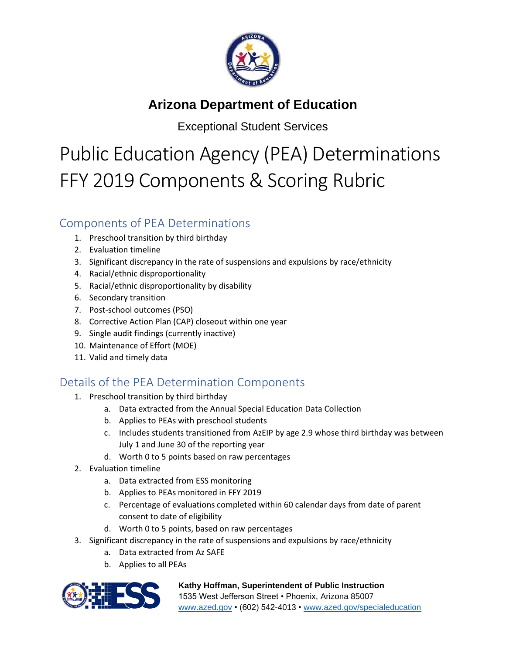

## **Arizona Department of Education**

Exceptional Student Services

## Public Education Agency (PEA) Determinations FFY 2019 Components & Scoring Rubric

## Components of PEA Determinations

- 1. Preschool transition by third birthday
- 2. Evaluation timeline
- 3. Significant discrepancy in the rate of suspensions and expulsions by race/ethnicity
- 4. Racial/ethnic disproportionality
- 5. Racial/ethnic disproportionality by disability
- 6. Secondary transition
- 7. Post-school outcomes (PSO)
- 8. Corrective Action Plan (CAP) closeout within one year
- 9. Single audit findings (currently inactive)
- 10. Maintenance of Effort (MOE)
- 11. Valid and timely data

## Details of the PEA Determination Components

- 1. Preschool transition by third birthday
	- a. Data extracted from the Annual Special Education Data Collection
	- b. Applies to PEAs with preschool students
	- c. Includes students transitioned from AzEIP by age 2.9 whose third birthday was between July 1 and June 30 of the reporting year
	- d. Worth 0 to 5 points based on raw percentages
- 2. Evaluation timeline
	- a. Data extracted from ESS monitoring
	- b. Applies to PEAs monitored in FFY 2019
	- c. Percentage of evaluations completed within 60 calendar days from date of parent consent to date of eligibility
	- d. Worth 0 to 5 points, based on raw percentages
- 3. Significant discrepancy in the rate of suspensions and expulsions by race/ethnicity
	- a. Data extracted from Az SAFE
	- b. Applies to all PEAs



**Kathy Hoffman, Superintendent of Public Instruction** 1535 West Jefferson Street • Phoenix, Arizona 85007 [www.azed.gov](http://www.azed.gov/) • (602) 542-4013 • [www.azed.gov/specialeducation](http://www.azed.gov/specialeducation)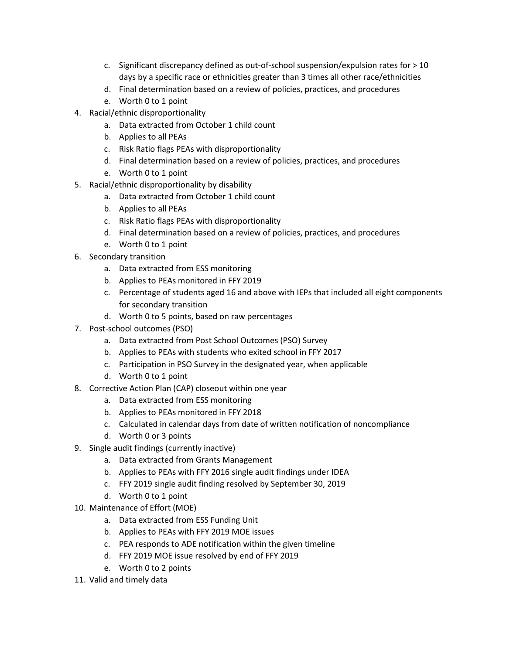- c. Significant discrepancy defined as out-of-school suspension/expulsion rates for > 10 days by a specific race or ethnicities greater than 3 times all other race/ethnicities
- d. Final determination based on a review of policies, practices, and procedures
- e. Worth 0 to 1 point
- 4. Racial/ethnic disproportionality
	- a. Data extracted from October 1 child count
	- b. Applies to all PEAs
	- c. Risk Ratio flags PEAs with disproportionality
	- d. Final determination based on a review of policies, practices, and procedures
	- e. Worth 0 to 1 point
- 5. Racial/ethnic disproportionality by disability
	- a. Data extracted from October 1 child count
	- b. Applies to all PEAs
	- c. Risk Ratio flags PEAs with disproportionality
	- d. Final determination based on a review of policies, practices, and procedures
	- e. Worth 0 to 1 point
- 6. Secondary transition
	- a. Data extracted from ESS monitoring
	- b. Applies to PEAs monitored in FFY 2019
	- c. Percentage of students aged 16 and above with IEPs that included all eight components for secondary transition
	- d. Worth 0 to 5 points, based on raw percentages
- 7. Post-school outcomes (PSO)
	- a. Data extracted from Post School Outcomes (PSO) Survey
	- b. Applies to PEAs with students who exited school in FFY 2017
	- c. Participation in PSO Survey in the designated year, when applicable
	- d. Worth 0 to 1 point
- 8. Corrective Action Plan (CAP) closeout within one year
	- a. Data extracted from ESS monitoring
	- b. Applies to PEAs monitored in FFY 2018
	- c. Calculated in calendar days from date of written notification of noncompliance
	- d. Worth 0 or 3 points
- 9. Single audit findings (currently inactive)
	- a. Data extracted from Grants Management
	- b. Applies to PEAs with FFY 2016 single audit findings under IDEA
	- c. FFY 2019 single audit finding resolved by September 30, 2019
	- d. Worth 0 to 1 point
- 10. Maintenance of Effort (MOE)
	- a. Data extracted from ESS Funding Unit
	- b. Applies to PEAs with FFY 2019 MOE issues
	- c. PEA responds to ADE notification within the given timeline
	- d. FFY 2019 MOE issue resolved by end of FFY 2019
	- e. Worth 0 to 2 points
- 11. Valid and timely data